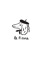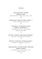#### STARTERS

# **Black Tiger Garnele ∙ Piquillos Knoblauch ∙ Chilli** <sup>C</sup>

*Black Tiger Shrimp ∙ Piquillo Pepper ∙ Garlic ∙ Chilli* € 23

**Jakobsmuschel ∙ Noilly Prat ∙ Butter ∙ Kräuter** F,M,D

*Scallop ∙ Noilly Prat ∙ Butter ∙ Herbs*

€ 16

**Salat Niçoise ∙ Thunfischfilet ∙ Onsenei Edamame ∙ Kenia Bohnen** I,B

*Salad Niçoise ∙ Tuna Fillet ∙ Hot Spring Egg Edamame ∙ Green Beans* € 16

**Beef Tatar ∙ Kartoffel ∙ Eigelb ∙ Blauschimmelkäse** I,F

*Beef Tartar ∙ Potato ∙ Egg Yolk ∙ Blue Cheese* € 19

**Reblochon ∙ Fusette Brot ∙ Tomatenmarmelade** A,F

*Reblochon ∙ Fusette Bread ∙ Tomato Jam*

€ 9

**Ziegenfrischkäse ∙ Ochsenherztomate ∙ Weintraube Estragon ∙ Olivenöl** <sup>F</sup>

> *Fresh Goat Cheese ∙ Oxheart Tomato ∙ Grape Tarragon ∙ Olive Oil*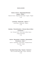# MAIN COURSE

**Steak au Poivre ∙ 200g Rinderfiletsteak Cognac ∙ Pfeffer** F,D

*Steak Au Poivre ∙ 200g Beef Fillet Steak ∙ Cognac ∙ Pepper* € 35

**Lammhaxe ∙ Ratatouille ∙ Joghurt** F,D,E

*Lamb Shank ∙ Ratatouille ∙ Yoghurt* € 30

**Kabeljau ∙ Petersilienpüree ∙ Zitronen-Beurre-Blanc Lauchstroh** F,B

*Cod ∙ Parsley Puree ∙ Lemon Beurre Blanc Sauce Crispy Leek Strips* € 19

**Quiche ∙ Blumenkohl ∙ Fetakäse ∙ Röstzwiebeln Pinienkerne ∙ Salat** D,F,H

*Quiche ∙ Cauliflower ∙ Feta Cheese ∙ Roasted Onions Pine Nuts ∙ Salad*

€ 14

# **Roastbeef Steak 300g ∙ Thymian ∙ Rosmarin** <sup>F</sup>

*Short Loin Beef Steak 300g ∙ Thyme ∙ Rosemary*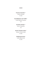# SIDES

# **Pommes Alumette** I,D

*Potato Alumette* € 5.50

# **Kartoffelpüree mit Trüffel** F,

*Truffle Mashed Potatoes* € 6

# **Krokette Zwiebel** I,A

*Onion Croquettes* € 6

# **Sesam-Tomaten-Salat** <sup>G</sup>

*Sesame Tomato Salad* € 5.50

# **Trüffelmayonnaise** <sup>I</sup>

*Truffle Mayonnaise* € 2.50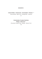# **DESSERTS**

**Crème Brûlée ∙ Schwarztee ∙ Granatapfel ∙ Pistazie** I,H,F

*Crème Brûlée ∙ Black Tea ∙ Pomegranate ∙ Pistachio*

€ 7

# **Schokoladen Fondant Küchlein Mango ∙ Maracuja** F,I

*Chocolate Fondant Cake ∙ Mango ∙ Passion Fruit*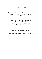# LE PIERRE'S FAVORITES

**Caesar Salad ∙ Salatherzen ∙ Parmesan ∙ Croutons** F,I,A

*Caesar Salad ∙ Lettuce Hearts ∙ Parmesan ∙ Croutons*

€ 13

**Clubsandwich ∙ Hähnchen ∙ Pastrami ∙ Ei Dijonsenf ∙ Blattsalat** A,K,D

*Club Sandwich ∙ Chicken ∙ Pastrami ∙ Egg Dijon Mustard ∙ Lettuce*

€ 12

# **Challah ∙ Beef ∙ Weißkraut ∙ Zwiebel Senf ∙ Koriander** A,G,K

*Challah ∙ Beef ∙ White Cabbage ∙ Onion ∙ Mustard ∙ Coriander*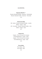# LE COCKTAIL

#### **Espresso Martini** 1,14

Russian Standard Wodka ∙ Espresso ∙ Schokolade *Russian Standard Vodka ∙ Espresso ∙ Chocolate* € 12

**Cheval fou Mule**

Dill ∙ Gurke ∙ Russian Standard Wodka ∙ Limette Bitters ∙ Ingwer ∙ Soda *Dill ∙ Cucumber ∙ Russian Standard Vodka ∙ Lime Bitters ∙ Ginger ∙ Soda* € 11

**Chanel N°5**

Cognac ∙ Pierre Ferrand Dry Curaçao D.O.M Bénédictine ∙ Zucker ∙ Soda *Cognac ∙ Pierre Ferrand Dry Curaçao D.O.M Bénédictine ∙ Sugar ∙ Soda* € 13

#### **Picon Bière**

Picon Bière ∙ Bier *Picon Bière ∙ Beer* € 6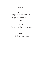# LE COCKTAIL

#### **French N°69**

Clément Coco ∙ Gin Citadelle Jardin D'Été Champagnersirup ∙ Champagner *Clément Coco ∙ Citadelle Gin Jardin D*'*Été Champagne Syrup ∙ Champagne* € 13

# **Pierre Richard**

Ricard Pastis ∙ Arak ∙ Apfel ∙ Mandel ∙ Minzwasser *Ricard Pastis ∙ Arak ∙ Apple ∙ Almond ∙ Mint Water* € 10

# **Peaches**

RinQuinQuin À La Pêche ∙ Crémant *RinQuinQuin À La Pêche ∙ Crémant* € 12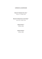# CRÉMANT-CHAMPAGNE

# **Bouvet Crémant de Loire** <sup>D</sup>

0.1L € 7 / 0.75L € 45

#### **Bouvet Crémant de Loire Rosé** <sup>D</sup>

0.1L € 8 / 0.75L € 49

# **Ruinart Brut** <sup>D</sup>

0.75L € 130

# **Ruinart Rosé** <sup>D</sup>

0.75L € 150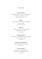#### WHITE WINE

#### **Henri Bourgeois** <sup>D</sup>

Sauvignon Val De Loire ∙ IGP ∙ Petit Bourgeois Chavignol ∙ Loire France ∙ 2020 0.1L € 5,50 / 0.75L € 39

## **Rafale** <sup>D</sup>

Chardonnay ∙ IGP ∙ Pays D'Oc Languedoc France ∙ 2020 0.1L  $∈$  5 / 0.75L  $∈$  36

# **Viognier** <sup>D</sup>

Château Du Trignon ∙ Côtes Du Rôhne Rôhne ∙ France ∙ 2019 0.75L € 38

#### **Bernard Bouchié** <sup>D</sup>

Pouilly Fumé ∙ La Renardière ∙ Saint-Andelain Loire ∙ France ∙ 2020 0.75L € 48

# **Domaine Long Depaquit** D

Chablis ∙ Burgund ∙ France ∙ 2020  $0.75$ L € 55

#### Louis Gruntrum<sup>D</sup>

Niersteiner ∙ Riesling trocken Rheinhessen ∙ Deutschland ∙ 2019  $0.751 \notin 40$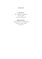# ROSÉ WINE

# **La Mer Rosé** <sup>D</sup>

IGP ∙ Pays D'Oc ∙ Languedoc France ∙ 2020 0.1L € 5 / 0.75L € 36

# **Château Minuty** <sup>D</sup>

Cuvée M Rosé AC ∙ Limited Edition Provence ∙ France ∙ 2020  $0.75$ L € 45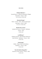#### RED WINE

#### **Château Montner** <sup>D</sup>

Grande Réserve ∙ Côtes Du Roussillon Villages Roussillon ∙ France ∙ 2018  $0.1L \in 5,50 / 0.75L \in 39$ 

# **Brumont Rouge** <sup>D</sup>

Merlot ∙ Tannat ∙ VDP ∙ Côtes De Gascogne Gascogne ∙ France ∙ 2020 0.1L  $∈$  5 / 0.75L  $∈$  36

## **Moulin De La Croix** <sup>D</sup>

Lalande-De-Pomerol ∙ Pomerol ∙ Bordeaux France ∙ 2014  $0.751 \text{ } \in 44$ 

# **La Différent** <sup>D</sup>

Château Ferrand ∙ Saint Émilion Grand Cru Saint Émilion ∙ Bordeaux ∙ France ∙ 2016  $0.751 \text{ } \in 56$ 

#### **Folie Rouge** <sup>D</sup>

Malbec ∙ Blaye-Côtes De Bordeaux Bordeaux ∙ France ∙ 2016  $0.75$ L € 35

#### **Terre De Safres Rouge Bio** <sup>D</sup>

Domaine Le Novi Luberon ∙ France ∙ 2016  $0.75$ L € 39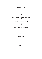# FRENCH LIQUORS

# **Genepi L'Ancienne** 4cl € 6

# **Henri Mounier Pineau De Charentes** 4cl € 8

# **Pineau De Chanrentes Aperitif Pierre Ferrand**

# 4cl € 8

# **Absente France 55% v. Gogh** 4cl € 8

#### **Pastis Henri Bardouin**

 $4c$  ∈ 8

## **Pastis Duval**

4cl € 6

## **Pernod**

4cl € 8

#### **Ricard**

4cl € 6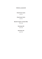# FRENCH LIQUEURS

# **Chartreuse Jaune**

4cl € 8

#### **Chartreuse Verte**

# 4cl € 8

# **Martell Cognac Cordon Bleu**

4cl € 29

# **Hennessy XO**

4cl € 34

# **Hennessy VS**

4cl € 14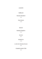# **LIQUORS**

# **Vodka 4cl**

# **Russian Standard**

# € 8

**Grey Goose** € 10

# **Gin 4cl**

# **Bombay Sapphire**

€ 8

# **Gin Sul**

# € 11

#### **Hendrick's**

## € 10

## **Le Gin De Christian Drouin**

# € 9

# **Citadelle Jardin D'Été**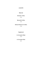# **LIQUORS**

# **Rum 4cl**

# **Eminete 7 Años** € 12

# **Barcardi 8 Años**

# € 9

# **Botucal Reserva 12 Años**

€ 12

**Tequila 4cl**

**In Corrupto Añejo** € 13

**In Corrupto Plata**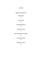# **LIQUORS**

# **Bourbon & Scotch 4cl**

# **Wild Turkey**

# € 8

#### **Knob Creek**

# € 10

# **Woodford Reserve**

# € 10

# **Talisker 10 Years** € 10

# **Glen Morangie The Original** € 10

# **Laphroig 10 Years** € 11

# **Macallan 12 Years** € 12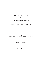#### **Beer**

# **Pilsner Urquell Fass / Draft A**  $0.33I$  € 4

# Weihenstephan Helles Fass / Draft A

 $0.33I$  € 4

**Warsteiner Alkohol Free** Flasche /Bottle A

€ 4

# **Softs**

#### **Schweppes**

Indian Tonic 7 ∙ Ginger Ale 3,5,7 ∙ Ginger Beer 3,5,7∙ Soda 1

€ 4

# **Fever Tree**

Mediterranean Tonic<sup>7</sup>

# € 4

**Coca Cola** 2,3,5,15 **Coca Cola Zero** 2,3 € 4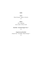# **Softs**

#### **Juice**

Blood Orange ∙ Apple or Schorle € 4

# **Water**

Still ∙ Sparling 0.2L € 3,50 / 0.75L € 7,50

# **Red Bull ∙ Red Bull Sugar Free** 2,5

€ 5

# **Organics by Red Bull**

Simple Cola ∙ Viva Mate ∙ Black Orange 2,5